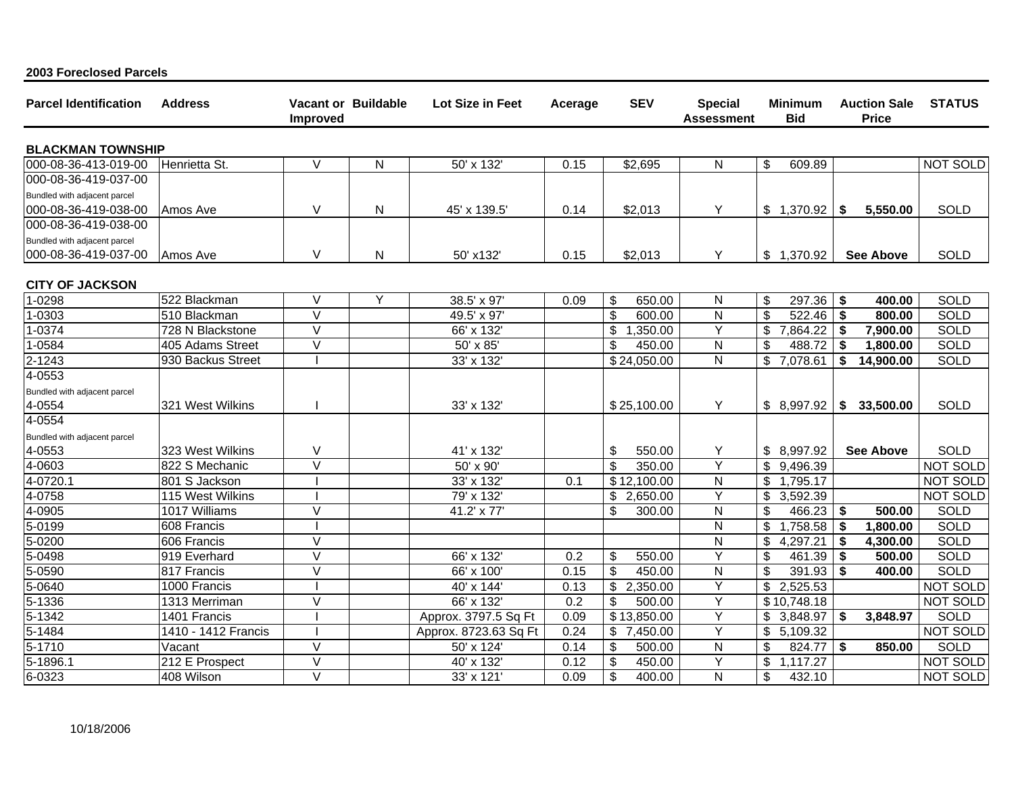| <b>Parcel Identification</b> | <b>Address</b>              | <b>Vacant or Buildable</b><br>Improved |   | Lot Size in Feet      | Acerage | <b>SEV</b>                                           | <b>Special</b><br><b>Assessment</b> | Minimum<br><b>Bid</b>    | <b>Auction Sale</b><br><b>Price</b> | <b>STATUS</b>                      |
|------------------------------|-----------------------------|----------------------------------------|---|-----------------------|---------|------------------------------------------------------|-------------------------------------|--------------------------|-------------------------------------|------------------------------------|
| <b>BLACKMAN TOWNSHIP</b>     |                             |                                        |   |                       |         |                                                      |                                     |                          |                                     |                                    |
| 000-08-36-413-019-00         | Henrietta St.               | $\vee$                                 | N | 50' x 132'            | 0.15    | \$2,695                                              | N                                   | \$<br>609.89             |                                     | <b>NOT SOLD</b>                    |
| 000-08-36-419-037-00         |                             |                                        |   |                       |         |                                                      |                                     |                          |                                     |                                    |
| Bundled with adjacent parcel |                             |                                        |   |                       |         |                                                      |                                     |                          |                                     |                                    |
| 000-08-36-419-038-00         | Amos Ave                    | $\vee$                                 | N | 45' x 139.5'          | 0.14    | \$2,013                                              | Y                                   | \$1,370.92               | l Si<br>5,550.00                    | SOLD                               |
| 000-08-36-419-038-00         |                             |                                        |   |                       |         |                                                      |                                     |                          |                                     |                                    |
| Bundled with adjacent parcel |                             |                                        |   |                       |         |                                                      |                                     |                          |                                     |                                    |
| 000-08-36-419-037-00         | Amos Ave                    | V                                      | N | 50' x132'             | 0.15    | \$2,013                                              | Y                                   | \$1,370.92               | <b>See Above</b>                    | <b>SOLD</b>                        |
|                              |                             |                                        |   |                       |         |                                                      |                                     |                          |                                     |                                    |
| <b>CITY OF JACKSON</b>       |                             |                                        |   |                       |         |                                                      |                                     |                          |                                     |                                    |
| 1-0298                       | 522 Blackman                | $\vee$                                 | Y | 38.5' x 97'           | 0.09    | \$<br>650.00                                         | N                                   | \$<br>297.36             | \$<br>400.00                        | SOLD                               |
| 1-0303                       | 510 Blackman                | $\vee$                                 |   | 49.5' x 97'           |         | $\boldsymbol{\mathsf{S}}$<br>600.00                  | N                                   | \$<br>522.46             | \$<br>800.00                        | SOLD                               |
| 1-0374                       | 728 N Blackstone            | $\overline{\vee}$                      |   | 66' x 132'            |         | \$<br>1,350.00                                       | Y                                   | \$<br>7,864.22           | \$<br>7,900.00                      | <b>SOLD</b>                        |
| 1-0584                       | 405 Adams Street            | $\vee$                                 |   | 50' x 85'             |         | \$<br>450.00                                         | N                                   | 488.72<br>\$             | -\$<br>1,800.00                     | <b>SOLD</b>                        |
| 2-1243                       | 930 Backus Street           |                                        |   | 33' x 132'            |         | \$24,050.00                                          | $\mathsf{N}$                        | 7,078.61<br>\$           | \$<br>14,900.00                     | SOLD                               |
| 4-0553                       |                             |                                        |   |                       |         |                                                      |                                     |                          |                                     |                                    |
| Bundled with adjacent parcel |                             |                                        |   |                       |         |                                                      |                                     |                          |                                     |                                    |
| 4-0554                       | 321 West Wilkins            |                                        |   | 33' x 132'            |         | \$25,100.00                                          | Y                                   | \$8,997.92               | l \$<br>33,500.00                   | <b>SOLD</b>                        |
| 4-0554                       |                             |                                        |   |                       |         |                                                      |                                     |                          |                                     |                                    |
| Bundled with adjacent parcel |                             |                                        |   |                       |         |                                                      |                                     |                          |                                     |                                    |
| 4-0553                       | 323 West Wilkins            | V                                      |   | 41' x 132'            |         | \$<br>550.00                                         | Y<br>Y                              | \$8,997.92               | <b>See Above</b>                    | SOLD                               |
| 4-0603                       | 822 S Mechanic              | $\vee$                                 |   | 50' x 90'             |         | \$<br>350.00                                         |                                     | \$<br>9,496.39           |                                     | <b>NOT SOLD</b>                    |
| $\sqrt{4-0720.1}$            | 801 S Jackson               |                                        |   | 33' x 132'            | 0.1     | \$12,100.00                                          | N                                   | \$<br>1,795.17           |                                     | <b>NOT SOLD</b><br><b>NOT SOLD</b> |
| 4-0758                       | 115 West Wilkins            | $\overline{\vee}$                      |   | 79' x 132'            |         | \$2,650.00                                           | Υ                                   | \$<br>3,592.39           |                                     |                                    |
| 4-0905                       | 1017 Williams               |                                        |   | 41.2' x 77'           |         | \$<br>300.00                                         | N                                   | \$<br>466.23             | 500.00<br>- \$                      | <b>SOLD</b>                        |
| 5-0199                       | 608 Francis                 | $\overline{\vee}$                      |   |                       |         |                                                      | N<br>$\mathsf{N}$                   | \$<br>1,758.58           | \$<br>1,800.00                      | <b>SOLD</b><br><b>SOLD</b>         |
| 5-0200                       | 606 Francis<br>919 Everhard | $\overline{\vee}$                      |   |                       |         |                                                      | Υ                                   | 4,297.21<br>\$<br>\$     | -\$<br>4,300.00                     | SOLD                               |
| 5-0498                       |                             | $\vee$                                 |   | 66' x 132'            | 0.2     | \$<br>550.00                                         |                                     | 461.39<br>\$             | \$<br>500.00                        | <b>SOLD</b>                        |
| 5-0590                       | 817 Francis                 |                                        |   | 66' x 100'            | 0.15    | \$<br>450.00<br>$\overline{\mathcal{S}}$<br>2,350.00 | ${\sf N}$<br>Y                      | 391.93<br>2,525.53<br>\$ | \$<br>400.00                        | <b>NOT SOLD</b>                    |
| 5-0640                       | 1000 Francis                | $\overline{\mathsf{v}}$                |   | 40' x 144'            | 0.13    |                                                      | Υ                                   |                          |                                     |                                    |
| 5-1336                       | 1313 Merriman               |                                        |   | 66' x 132'            | 0.2     | $\boldsymbol{\mathsf{S}}$<br>500.00                  |                                     | \$10,748.18              |                                     | <b>NOT SOLD</b>                    |
| 5-1342                       | 1401 Francis                |                                        |   | Approx. 3797.5 Sq Ft  | 0.09    | \$13,850.00                                          | Υ<br>Υ                              | \$<br>3,848.97           | \$<br>3,848.97                      | <b>SOLD</b>                        |
| 5-1484                       | 1410 - 1412 Francis         | $\overline{\vee}$                      |   | Approx. 8723.63 Sq Ft | 0.24    | \$<br>7,450.00                                       |                                     | \$<br>5,109.32           |                                     | <b>NOT SOLD</b>                    |
| 5-1710                       | Vacant                      | $\vee$                                 |   | 50' x 124'            | 0.14    | \$<br>500.00                                         | N<br>Υ                              | 824.77<br>\$             | -\$<br>850.00                       | <b>SOLD</b>                        |
| $\overline{5}$ -1896.1       | 212 E Prospect              | $\overline{\mathsf{v}}$                |   | 40' x 132'            | 0.12    | \$<br>450.00                                         |                                     | \$<br>1,117.27           |                                     | <b>NOT SOLD</b>                    |
| 6-0323                       | 408 Wilson                  |                                        |   | 33' x 121             | 0.09    | \$<br>400.00                                         | N                                   | \$<br>432.10             |                                     | <b>NOT SOLD</b>                    |

**2003 Foreclosed Parcels**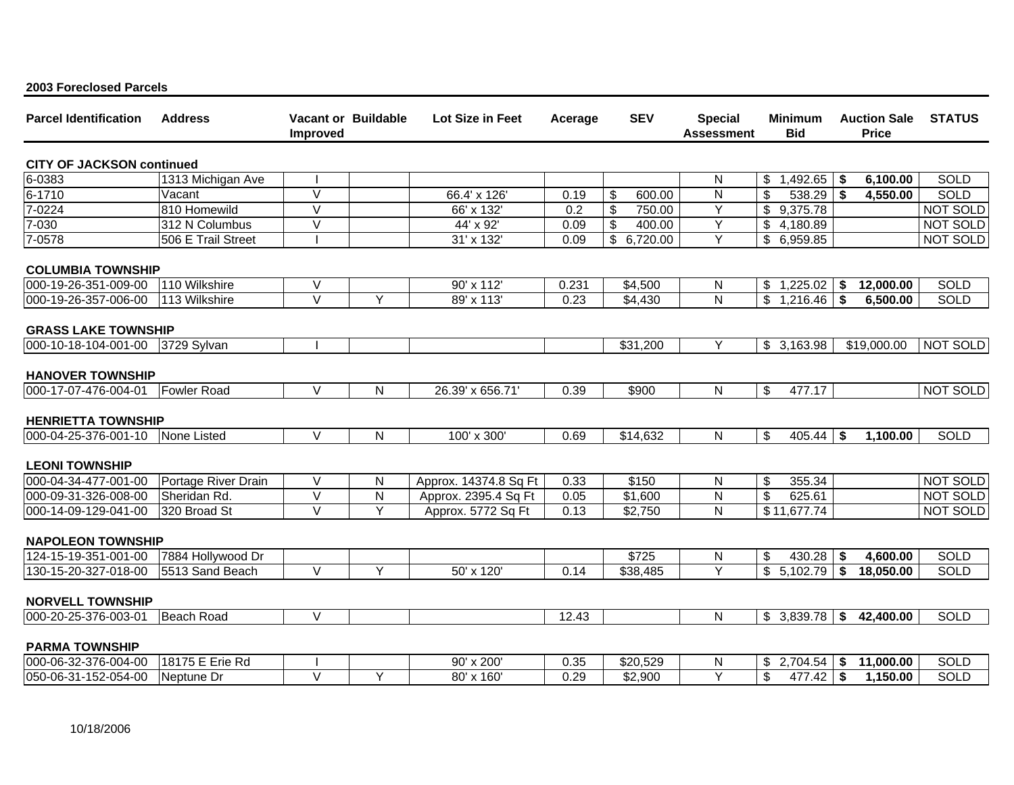|  |  | 2003 Foreclosed Parcels |  |
|--|--|-------------------------|--|
|--|--|-------------------------|--|

| <b>Parcel Identification</b>     | <b>Address</b>      | Improved                | <b>Vacant or Buildable</b> | Lot Size in Feet      | Acerage | <b>SEV</b>           | <b>Special</b><br><b>Assessment</b> | <b>Minimum</b><br><b>Bid</b> |      | <b>Auction Sale</b><br><b>Price</b> | <b>STATUS</b> |
|----------------------------------|---------------------|-------------------------|----------------------------|-----------------------|---------|----------------------|-------------------------------------|------------------------------|------|-------------------------------------|---------------|
| <b>CITY OF JACKSON continued</b> |                     |                         |                            |                       |         |                      |                                     |                              |      |                                     |               |
| 6-0383                           | 1313 Michigan Ave   |                         |                            |                       |         |                      | N                                   | 1,492.65<br>\$               | \$   | 6,100.00                            | <b>SOLD</b>   |
| 6-1710                           | Vacant              | $\vee$                  |                            | 66.4' x 126'          | 0.19    | \$<br>600.00         | N                                   | \$<br>538.29                 | \$   | 4,550.00                            | <b>SOLD</b>   |
| 7-0224                           | 810 Homewild        | $\overline{\vee}$       |                            | 66' x 132'            | 0.2     | \$<br>750.00         | Y                                   | \$9,375.78                   |      |                                     | NOT SOLD      |
| 7-030                            | 312 N Columbus      | $\overline{\mathsf{V}}$ |                            | 44' x 92'             | 0.09    | \$<br>400.00         | Y                                   | \$<br>4,180.89               |      |                                     | NOT SOLD      |
| 7-0578                           | 506 E Trail Street  |                         |                            | 31' x 132'            | 0.09    | \$<br>6,720.00       | Y                                   | 6,959.85<br>\$               |      |                                     | NOT SOLD      |
| <b>COLUMBIA TOWNSHIP</b>         |                     |                         |                            |                       |         |                      |                                     |                              |      |                                     |               |
| 000-19-26-351-009-00             | 110 Wilkshire       | $\vee$                  |                            | 90' x 112'            | 0.231   | \$4,500              | N                                   | 1,225.02<br>\$               | \$   | 12,000.00                           | SOLD          |
| 000-19-26-357-006-00             | 113 Wilkshire       | $\vee$                  | Y                          | 89' x 113'            | 0.23    | \$4,430              | $\overline{\mathsf{N}}$             | $\mathfrak{S}$<br>1,216.46   | \$   | 6,500.00                            | SOLD          |
| <b>GRASS LAKE TOWNSHIP</b>       |                     |                         |                            |                       |         |                      |                                     |                              |      |                                     |               |
| 000-10-18-104-001-00             | 3729 Sylvan         |                         |                            |                       |         | \$31,200             |                                     | \$3,163.98                   |      | \$19,000.00                         | NOT SOLD      |
| <b>HANOVER TOWNSHIP</b>          |                     |                         |                            |                       |         |                      |                                     |                              |      |                                     |               |
| 000-17-07-476-004-01             | <b>Fowler Road</b>  | $\vee$                  | N                          | 26.39' x 656.71'      | 0.39    | \$900                | ${\sf N}$                           | $\mathsf{\$}$<br>477.17      |      |                                     | NOT SOLD      |
| <b>HENRIETTA TOWNSHIP</b>        |                     |                         |                            |                       |         |                      |                                     |                              |      |                                     |               |
| 000-04-25-376-001-10             | None Listed         | $\vee$                  | N                          | 100' x 300'           | 0.69    | \$14,632             | $\mathsf{N}$                        | \$<br>405.44                 | \$   | 1,100.00                            | <b>SOLD</b>   |
| <b>LEONI TOWNSHIP</b>            |                     |                         |                            |                       |         |                      |                                     |                              |      |                                     |               |
| 000-04-34-477-001-00             | Portage River Drain | $\vee$                  | N                          | Approx. 14374.8 Sq Ft | 0.33    | \$150                | ${\sf N}$                           | \$<br>355.34                 |      |                                     | NOT SOLD      |
| 000-09-31-326-008-00             | Sheridan Rd.        | $\overline{\vee}$       | ${\sf N}$                  | Approx. 2395.4 Sq Ft  | 0.05    | \$1,600              | N                                   | \$<br>625.61                 |      |                                     | NOT SOLD      |
| 000-14-09-129-041-00             | 320 Broad St        | $\vee$                  | Y                          | Approx. 5772 Sq Ft    | 0.13    | \$2,750              | N                                   | \$11,677.74                  |      |                                     | NOT SOLD      |
| <b>NAPOLEON TOWNSHIP</b>         |                     |                         |                            |                       |         |                      |                                     |                              |      |                                     |               |
| 124-15-19-351-001-00             | 7884 Hollywood Dr   |                         |                            |                       |         | \$725                | N                                   | 430.28<br>\$                 | \$   | 4,600.00                            | <b>SOLD</b>   |
| 130-15-20-327-018-00             | 5513 Sand Beach     | $\vee$                  | Y                          | 50' x 120'            | 0.14    | $\overline{$}38,485$ | Y                                   | $\mathfrak{S}$<br>5,102.79   | l \$ | 18,050.00                           | <b>SOLD</b>   |
| <b>NORVELL TOWNSHIP</b>          |                     |                         |                            |                       |         |                      |                                     |                              |      |                                     |               |
| 000-20-25-376-003-01             | Beach Road          | $\overline{\vee}$       |                            |                       | 12.43   |                      | $\mathsf{N}$                        | \$3,839.78                   | \$   | 42,400.00                           | <b>SOLD</b>   |
| <b>PARMA TOWNSHIP</b>            |                     |                         |                            |                       |         |                      |                                     |                              |      |                                     |               |
| 000-06-32-376-004-00             | 18175 E Erie Rd     |                         |                            | 90' x 200'            | 0.35    | \$20,529             | N                                   | 2,704.54<br>S                | \$   | 11,000.00                           | <b>SOLD</b>   |
| 050-06-31-152-054-00             | Neptune Dr          | $\vee$                  | Y                          | 80' x 160'            | 0.29    | \$2,900              | $\overline{Y}$                      | \$<br>$477.42$ \$            |      | 1,150.00                            | SOLD          |